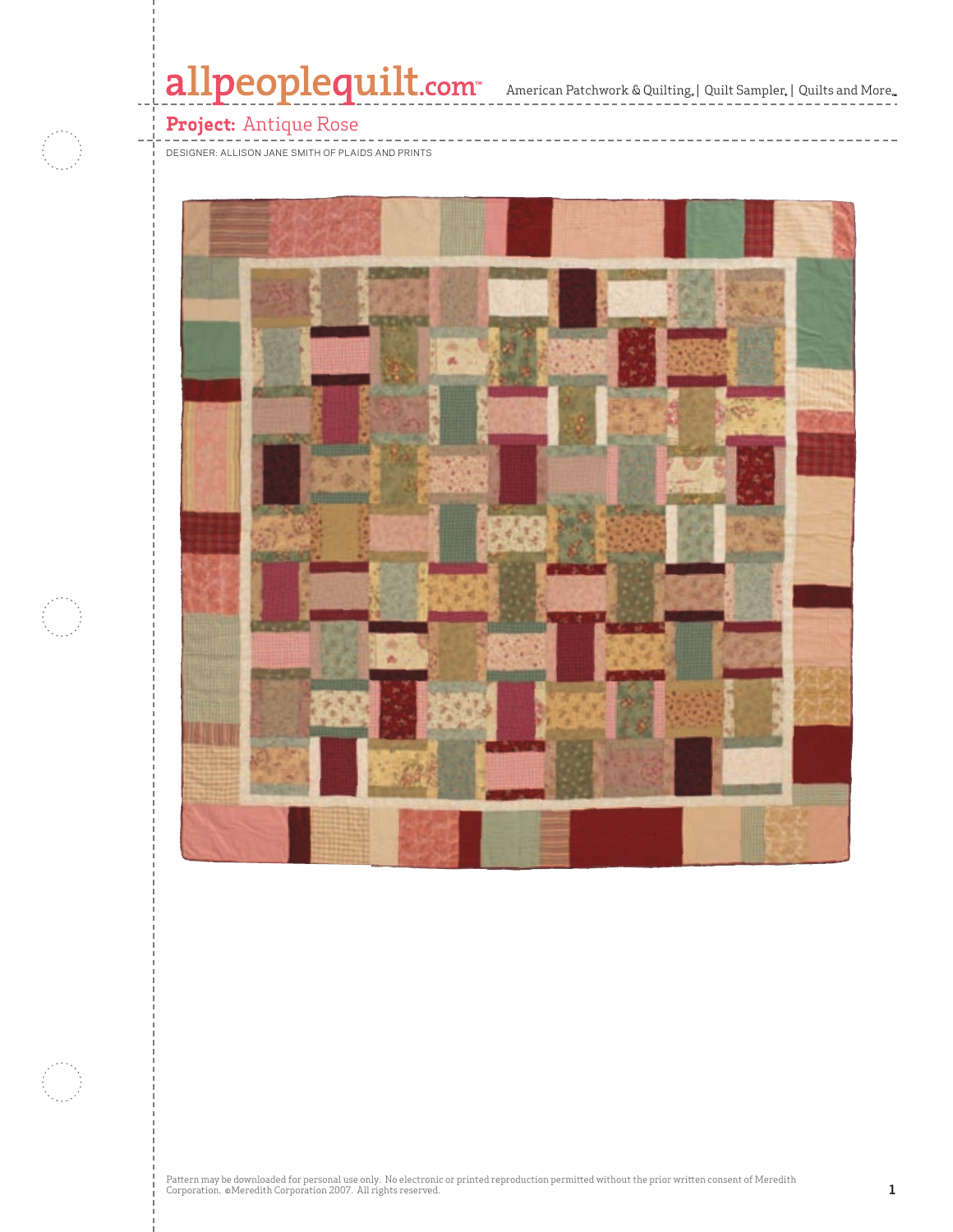# allpeoplequilt.com<sup>-</sup> American Patchwork & Quilting, | Quilt Sampler, | Quilts and More..

### **Project:** Antique Rose

DESIGNER: ALLISON JANE SMITH OF PLAIDS AND PRINTS







Pattern may be downloaded for personal use only. No electronic or printed reproduction permitted without the prior written consent of Meredith<br>Corporation. ©Meredith Corporation 2007. All rights reserved.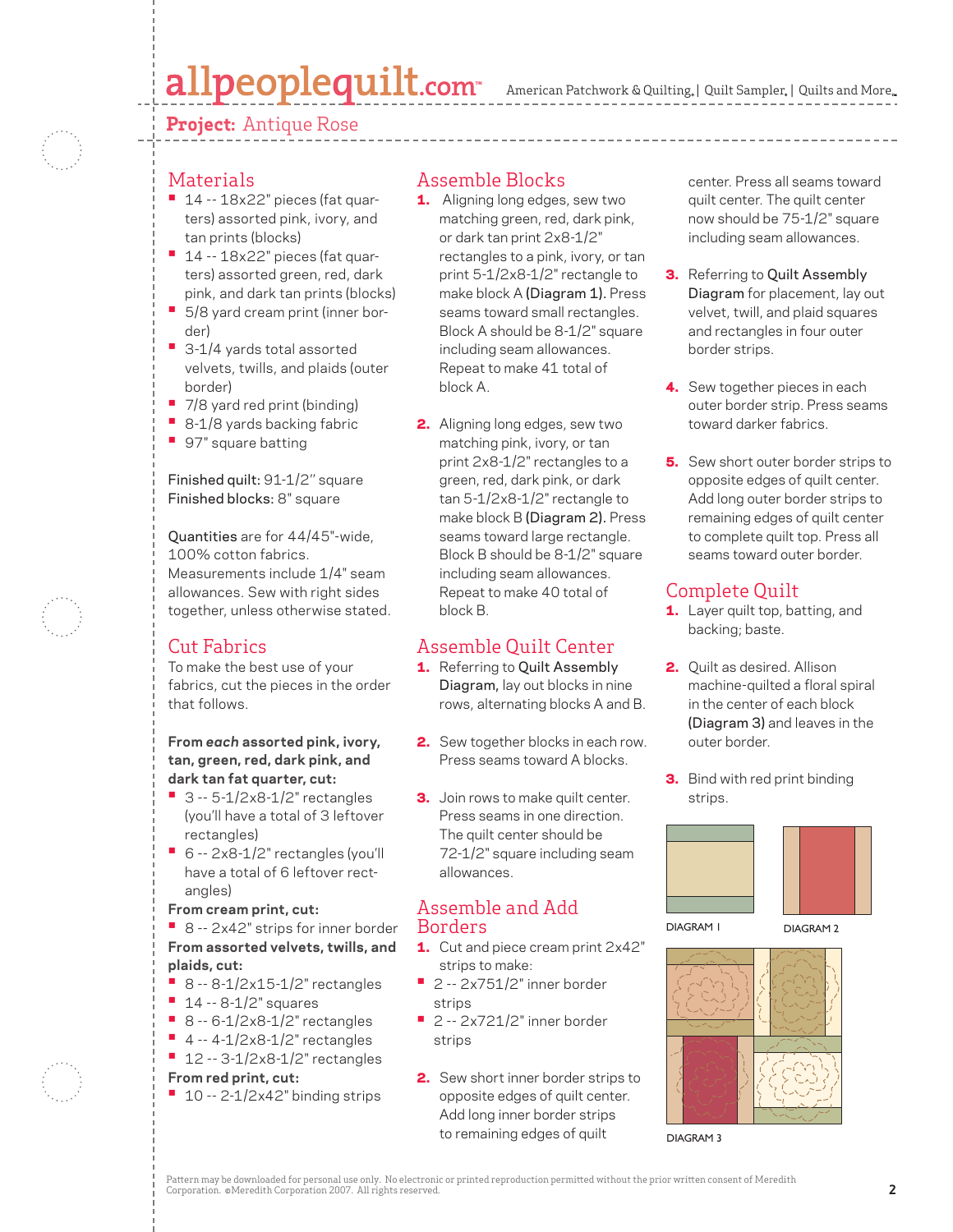# allpeoplequilt.com

American Patchwork & Quilting, | Quilt Sampler, | Quilts and More...

#### **Project:** Antique Rose



#### **Materials**

- 14 -- 18x22" pieces (fat quarters) assorted pink, ivory, and tan prints (blocks)
- 14 -- 18x22" pieces (fat quarters) assorted green, red, dark pink, and dark tan prints (blocks)
- 5/8 yard cream print (inner border)
- 3-1/4 yards total assorted velvets, twills, and plaids (outer border)
- 7/8 yard red print (binding)
- 8-1/8 yards backing fabric
- 97" square batting

#### Finished quilt: 91-1/2'' square Finished blocks: 8" square

Quantities are for 44/45"-wide, 100% cotton fabrics. Measurements include 1/4" seam allowances. Sew with right sides together, unless otherwise stated.

### Cut Fabrics

To make the best use of your fabrics, cut the pieces in the order that follows.

**From** *each* **assorted pink, ivory, tan, green, red, dark pink, and dark tan fat quarter, cut:**

- 3 -- 5-1/2x8-1/2" rectangles (you'll have a total of 3 leftover rectangles)
- 6 -- 2x8-1/2" rectangles (you'll have a total of 6 leftover rectangles)
- **From cream print, cut:**

**•** 8 -- 2x42" strips for inner border **From assorted velvets, twills, and plaids, cut:**

- 8 -- 8-1/2x15-1/2" rectangles
- 14 -- 8-1/2" squares
- 8 -- 6-1/2x8-1/2" rectangles
- 4 -- 4-1/2x8-1/2" rectangles
- 12 -- 3-1/2x8-1/2" rectangles

#### **From red print, cut:**

**•** 10 -- 2-1/2x42" binding strips

#### Assemble Blocks

- 1. Aligning long edges, sew two matching green, red, dark pink, or dark tan print 2x8-1/2" rectangles to a pink, ivory, or tan print 5-1/2x8-1/2" rectangle to make block A (Diagram 1). Press seams toward small rectangles. Block A should be 8-1/2" square including seam allowances. Repeat to make 41 total of block A.
- 2. Aligning long edges, sew two matching pink, ivory, or tan print 2x8-1/2" rectangles to a green, red, dark pink, or dark tan 5-1/2x8-1/2" rectangle to make block B (Diagram 2). Press seams toward large rectangle. Block B should be 8-1/2" square including seam allowances. Repeat to make 40 total of block B.

### Assemble Quilt Center

- 1. Referring to Quilt Assembly Diagram, lay out blocks in nine rows, alternating blocks A and B.
- 2. Sew together blocks in each row. Press seams toward A blocks.
- **3.** Join rows to make quilt center. Press seams in one direction. The quilt center should be 72-1/2" square including seam allowances.

#### Assemble and Add Borders

- 1. Cut and piece cream print 2x42" strips to make:
- 2 -- 2x751/2" inner border strips
- 2 -- 2x721/2" inner border strips
- 2. Sew short inner border strips to opposite edges of quilt center. Add long inner border strips to remaining edges of quilt

center. Press all seams toward quilt center. The quilt center now should be 75-1/2" square including seam allowances.

- **3.** Referring to Quilt Assembly Diagram for placement, lay out velvet, twill, and plaid squares and rectangles in four outer border strips.
- 4. Sew together pieces in each outer border strip. Press seams toward darker fabrics.
- **5.** Sew short outer border strips to opposite edges of quilt center. Add long outer border strips to remaining edges of quilt center to complete quilt top. Press all seams toward outer border.

#### Complete Quilt

- 1. Layer quilt top, batting, and backing; baste.
- 2. Quilt as desired. Allison machine-quilted a floral spiral in the center of each block (Diagram 3) and leaves in the outer border.
- **3.** Bind with red print binding strips.



DIAGRAM 1

DIAGRAM 2



DIAGRAM 3